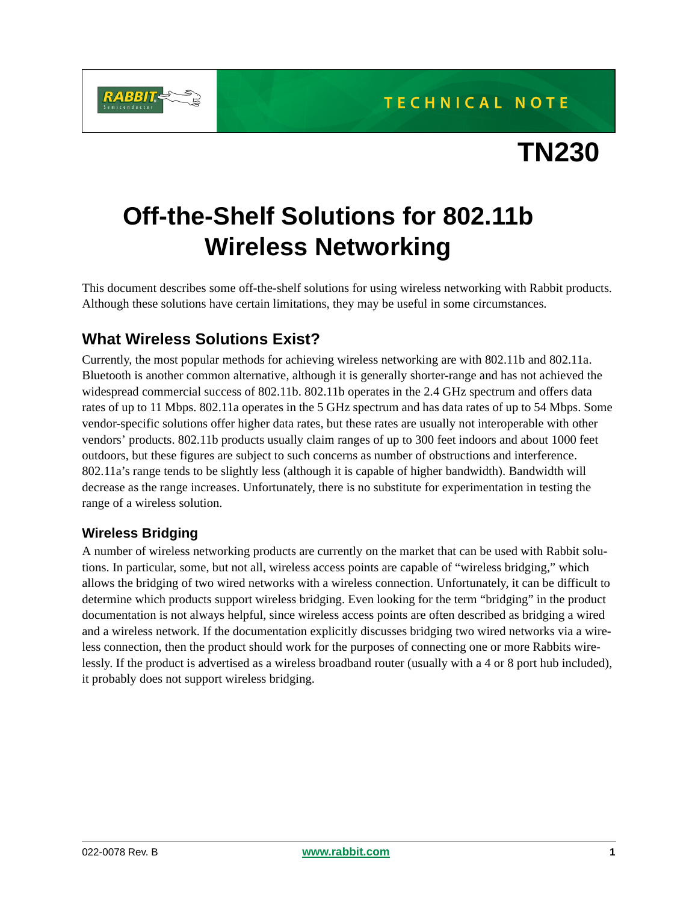

# **Off-the-Shelf Solutions for 802.11b Wireless Networking**

This document describes some off-the-shelf solutions for using wireless networking with Rabbit products. Although these solutions have certain limitations, they may be useful in some circumstances.

#### **What Wireless Solutions Exist?**

Currently, the most popular methods for achieving wireless networking are with 802.11b and 802.11a. Bluetooth is another common alternative, although it is generally shorter-range and has not achieved the widespread commercial success of 802.11b. 802.11b operates in the 2.4 GHz spectrum and offers data rates of up to 11 Mbps. 802.11a operates in the 5 GHz spectrum and has data rates of up to 54 Mbps. Some vendor-specific solutions offer higher data rates, but these rates are usually not interoperable with other vendors' products. 802.11b products usually claim ranges of up to 300 feet indoors and about 1000 feet outdoors, but these figures are subject to such concerns as number of obstructions and interference. 802.11a's range tends to be slightly less (although it is capable of higher bandwidth). Bandwidth will decrease as the range increases. Unfortunately, there is no substitute for experimentation in testing the range of a wireless solution.

#### **Wireless Bridging**

A number of wireless networking products are currently on the market that can be used with Rabbit solutions. In particular, some, but not all, wireless access points are capable of "wireless bridging," which allows the bridging of two wired networks with a wireless connection. Unfortunately, it can be difficult to determine which products support wireless bridging. Even looking for the term "bridging" in the product documentation is not always helpful, since wireless access points are often described as bridging a wired and a wireless network. If the documentation explicitly discusses bridging two wired networks via a wireless connection, then the product should work for the purposes of connecting one or more Rabbits wirelessly. If the product is advertised as a wireless broadband router (usually with a 4 or 8 port hub included), it probably does not support wireless bridging.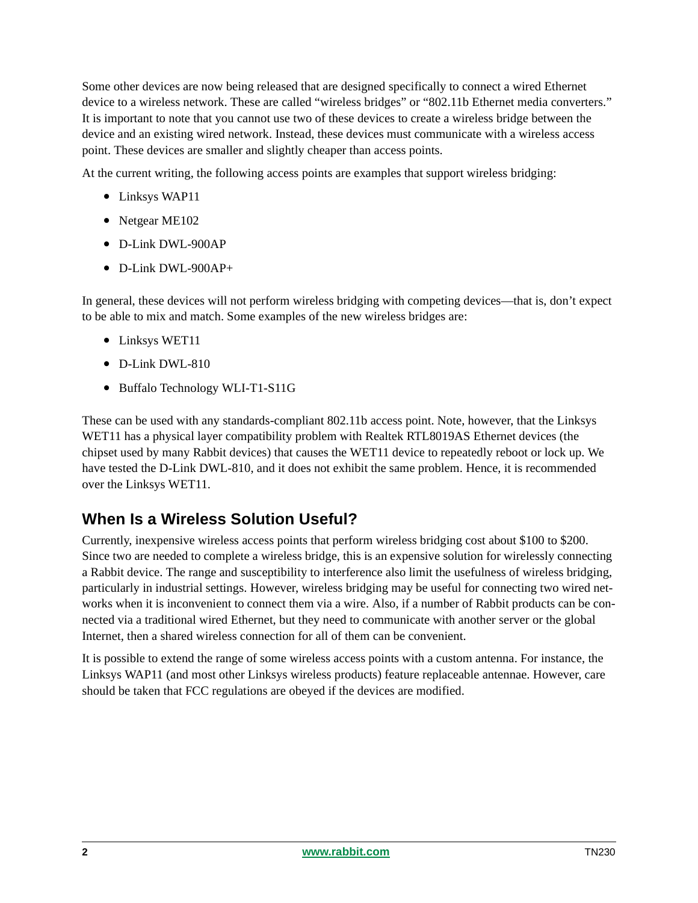Some other devices are now being released that are designed specifically to connect a wired Ethernet device to a wireless network. These are called "wireless bridges" or "802.11b Ethernet media converters." It is important to note that you cannot use two of these devices to create a wireless bridge between the device and an existing wired network. Instead, these devices must communicate with a wireless access point. These devices are smaller and slightly cheaper than access points.

At the current writing, the following access points are examples that support wireless bridging:

- Linksys WAP11
- Netgear ME102
- D-Link DWL-900AP
- D-Link DWL-900AP+

In general, these devices will not perform wireless bridging with competing devices—that is, don't expect to be able to mix and match. Some examples of the new wireless bridges are:

- Linksys WET11
- D-Link DWL-810
- Buffalo Technology WLI-T1-S11G

These can be used with any standards-compliant 802.11b access point. Note, however, that the Linksys WET11 has a physical layer compatibility problem with Realtek RTL8019AS Ethernet devices (the chipset used by many Rabbit devices) that causes the WET11 device to repeatedly reboot or lock up. We have tested the D-Link DWL-810, and it does not exhibit the same problem. Hence, it is recommended over the Linksys WET11.

#### **When Is a Wireless Solution Useful?**

Currently, inexpensive wireless access points that perform wireless bridging cost about \$100 to \$200. Since two are needed to complete a wireless bridge, this is an expensive solution for wirelessly connecting a Rabbit device. The range and susceptibility to interference also limit the usefulness of wireless bridging, particularly in industrial settings. However, wireless bridging may be useful for connecting two wired networks when it is inconvenient to connect them via a wire. Also, if a number of Rabbit products can be connected via a traditional wired Ethernet, but they need to communicate with another server or the global Internet, then a shared wireless connection for all of them can be convenient.

It is possible to extend the range of some wireless access points with a custom antenna. For instance, the Linksys WAP11 (and most other Linksys wireless products) feature replaceable antennae. However, care should be taken that FCC regulations are obeyed if the devices are modified.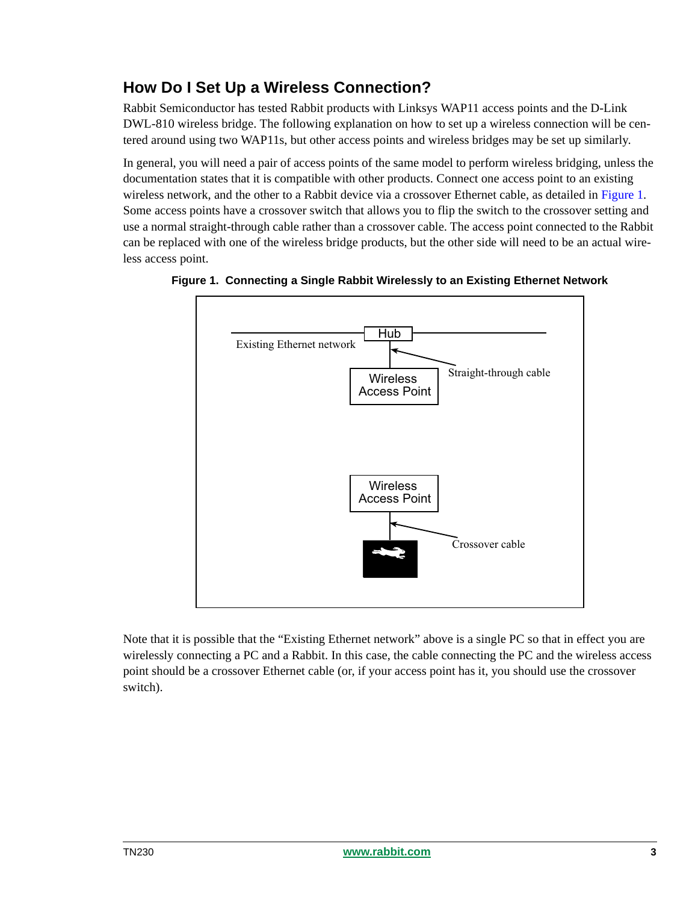## **How Do I Set Up a Wireless Connection?**

Rabbit Semiconductor has tested Rabbit products with Linksys WAP11 access points and the D-Link DWL-810 wireless bridge. The following explanation on how to set up a wireless connection will be centered around using two WAP11s, but other access points and wireless bridges may be set up similarly.

In general, you will need a pair of access points of the same model to perform wireless bridging, unless the documentation states that it is compatible with other products. Connect one access point to an existing wireless network, and the other to a Rabbit device via a crossover Ethernet cable, as detailed in [Figure 1](#page-2-0). Some access points have a crossover switch that allows you to flip the switch to the crossover setting and use a normal straight-through cable rather than a crossover cable. The access point connected to the Rabbit can be replaced with one of the wireless bridge products, but the other side will need to be an actual wireless access point.



<span id="page-2-0"></span>

Note that it is possible that the "Existing Ethernet network" above is a single PC so that in effect you are wirelessly connecting a PC and a Rabbit. In this case, the cable connecting the PC and the wireless access point should be a crossover Ethernet cable (or, if your access point has it, you should use the crossover switch).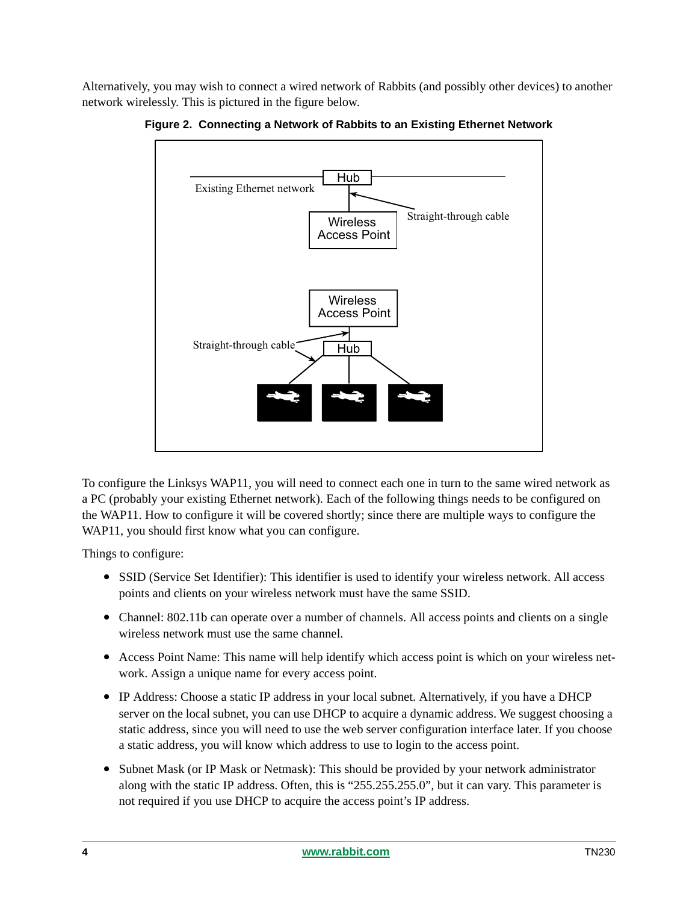Alternatively, you may wish to connect a wired network of Rabbits (and possibly other devices) to another network wirelessly. This is pictured in the figure below.



**Figure 2. Connecting a Network of Rabbits to an Existing Ethernet Network**

To configure the Linksys WAP11, you will need to connect each one in turn to the same wired network as a PC (probably your existing Ethernet network). Each of the following things needs to be configured on the WAP11. How to configure it will be covered shortly; since there are multiple ways to configure the WAP11, you should first know what you can configure.

Things to configure:

- SSID (Service Set Identifier): This identifier is used to identify your wireless network. All access points and clients on your wireless network must have the same SSID.
- Channel: 802.11b can operate over a number of channels. All access points and clients on a single wireless network must use the same channel.
- Access Point Name: This name will help identify which access point is which on your wireless network. Assign a unique name for every access point.
- IP Address: Choose a static IP address in your local subnet. Alternatively, if you have a DHCP server on the local subnet, you can use DHCP to acquire a dynamic address. We suggest choosing a static address, since you will need to use the web server configuration interface later. If you choose a static address, you will know which address to use to login to the access point.
- Subnet Mask (or IP Mask or Netmask): This should be provided by your network administrator along with the static IP address. Often, this is "255.255.255.0", but it can vary. This parameter is not required if you use DHCP to acquire the access point's IP address.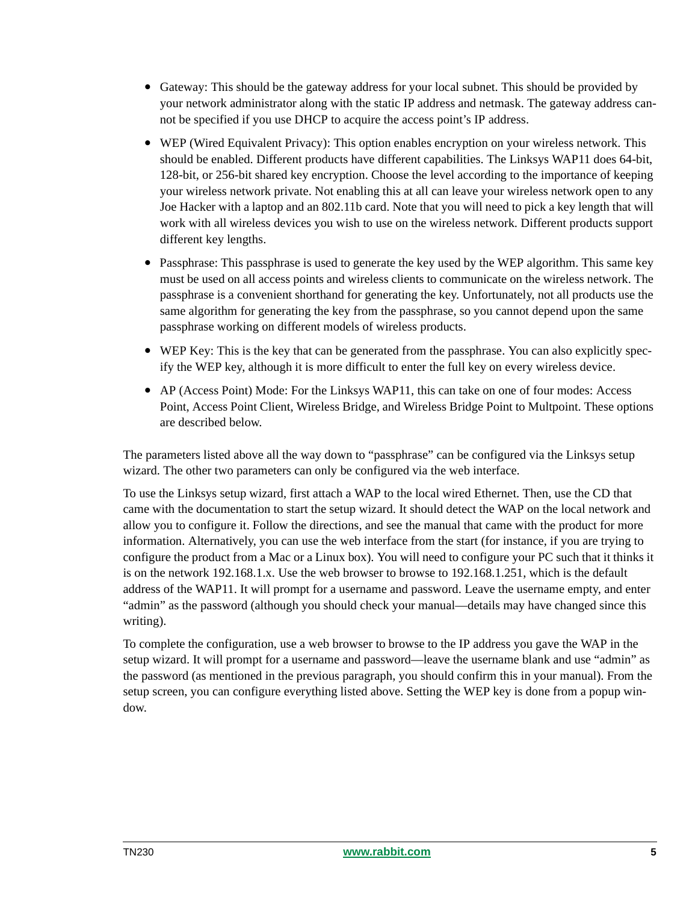- Gateway: This should be the gateway address for your local subnet. This should be provided by your network administrator along with the static IP address and netmask. The gateway address cannot be specified if you use DHCP to acquire the access point's IP address.
- WEP (Wired Equivalent Privacy): This option enables encryption on your wireless network. This should be enabled. Different products have different capabilities. The Linksys WAP11 does 64-bit, 128-bit, or 256-bit shared key encryption. Choose the level according to the importance of keeping your wireless network private. Not enabling this at all can leave your wireless network open to any Joe Hacker with a laptop and an 802.11b card. Note that you will need to pick a key length that will work with all wireless devices you wish to use on the wireless network. Different products support different key lengths.
- Passphrase: This passphrase is used to generate the key used by the WEP algorithm. This same key must be used on all access points and wireless clients to communicate on the wireless network. The passphrase is a convenient shorthand for generating the key. Unfortunately, not all products use the same algorithm for generating the key from the passphrase, so you cannot depend upon the same passphrase working on different models of wireless products.
- WEP Key: This is the key that can be generated from the passphrase. You can also explicitly specify the WEP key, although it is more difficult to enter the full key on every wireless device.
- AP (Access Point) Mode: For the Linksys WAP11, this can take on one of four modes: Access Point, Access Point Client, Wireless Bridge, and Wireless Bridge Point to Multpoint. These options are described below.

The parameters listed above all the way down to "passphrase" can be configured via the Linksys setup wizard. The other two parameters can only be configured via the web interface.

To use the Linksys setup wizard, first attach a WAP to the local wired Ethernet. Then, use the CD that came with the documentation to start the setup wizard. It should detect the WAP on the local network and allow you to configure it. Follow the directions, and see the manual that came with the product for more information. Alternatively, you can use the web interface from the start (for instance, if you are trying to configure the product from a Mac or a Linux box). You will need to configure your PC such that it thinks it is on the network 192.168.1.x. Use the web browser to browse to 192.168.1.251, which is the default address of the WAP11. It will prompt for a username and password. Leave the username empty, and enter "admin" as the password (although you should check your manual—details may have changed since this writing).

To complete the configuration, use a web browser to browse to the IP address you gave the WAP in the setup wizard. It will prompt for a username and password—leave the username blank and use "admin" as the password (as mentioned in the previous paragraph, you should confirm this in your manual). From the setup screen, you can configure everything listed above. Setting the WEP key is done from a popup window.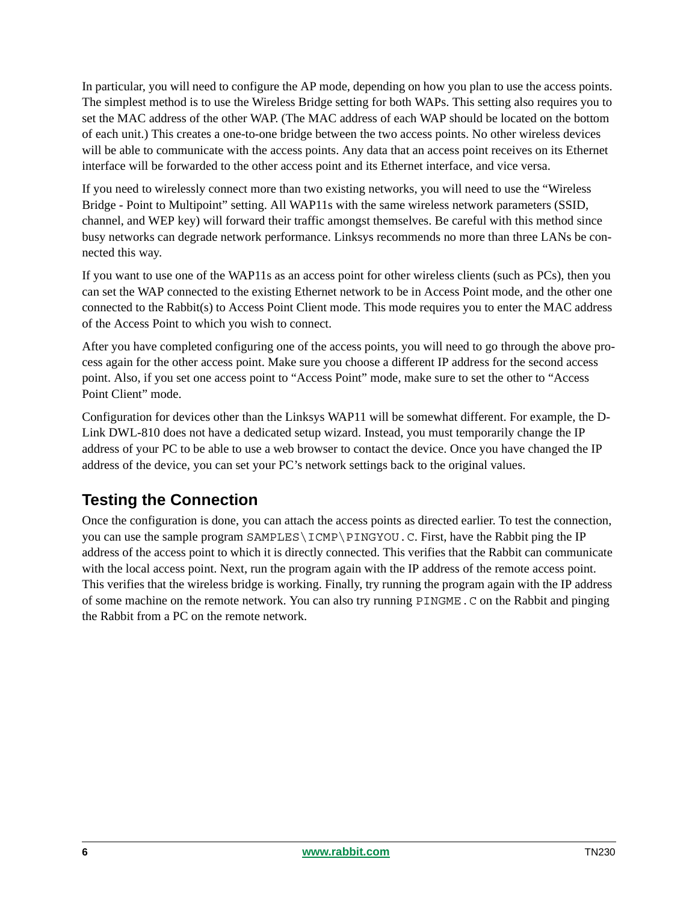In particular, you will need to configure the AP mode, depending on how you plan to use the access points. The simplest method is to use the Wireless Bridge setting for both WAPs. This setting also requires you to set the MAC address of the other WAP. (The MAC address of each WAP should be located on the bottom of each unit.) This creates a one-to-one bridge between the two access points. No other wireless devices will be able to communicate with the access points. Any data that an access point receives on its Ethernet interface will be forwarded to the other access point and its Ethernet interface, and vice versa.

If you need to wirelessly connect more than two existing networks, you will need to use the "Wireless Bridge - Point to Multipoint" setting. All WAP11s with the same wireless network parameters (SSID, channel, and WEP key) will forward their traffic amongst themselves. Be careful with this method since busy networks can degrade network performance. Linksys recommends no more than three LANs be connected this way.

If you want to use one of the WAP11s as an access point for other wireless clients (such as PCs), then you can set the WAP connected to the existing Ethernet network to be in Access Point mode, and the other one connected to the Rabbit(s) to Access Point Client mode. This mode requires you to enter the MAC address of the Access Point to which you wish to connect.

After you have completed configuring one of the access points, you will need to go through the above process again for the other access point. Make sure you choose a different IP address for the second access point. Also, if you set one access point to "Access Point" mode, make sure to set the other to "Access Point Client" mode.

Configuration for devices other than the Linksys WAP11 will be somewhat different. For example, the D-Link DWL-810 does not have a dedicated setup wizard. Instead, you must temporarily change the IP address of your PC to be able to use a web browser to contact the device. Once you have changed the IP address of the device, you can set your PC's network settings back to the original values.

### **Testing the Connection**

Once the configuration is done, you can attach the access points as directed earlier. To test the connection, you can use the sample program SAMPLES\ICMP\PINGYOU.C. First, have the Rabbit ping the IP address of the access point to which it is directly connected. This verifies that the Rabbit can communicate with the local access point. Next, run the program again with the IP address of the remote access point. This verifies that the wireless bridge is working. Finally, try running the program again with the IP address of some machine on the remote network. You can also try running PINGME.C on the Rabbit and pinging the Rabbit from a PC on the remote network.